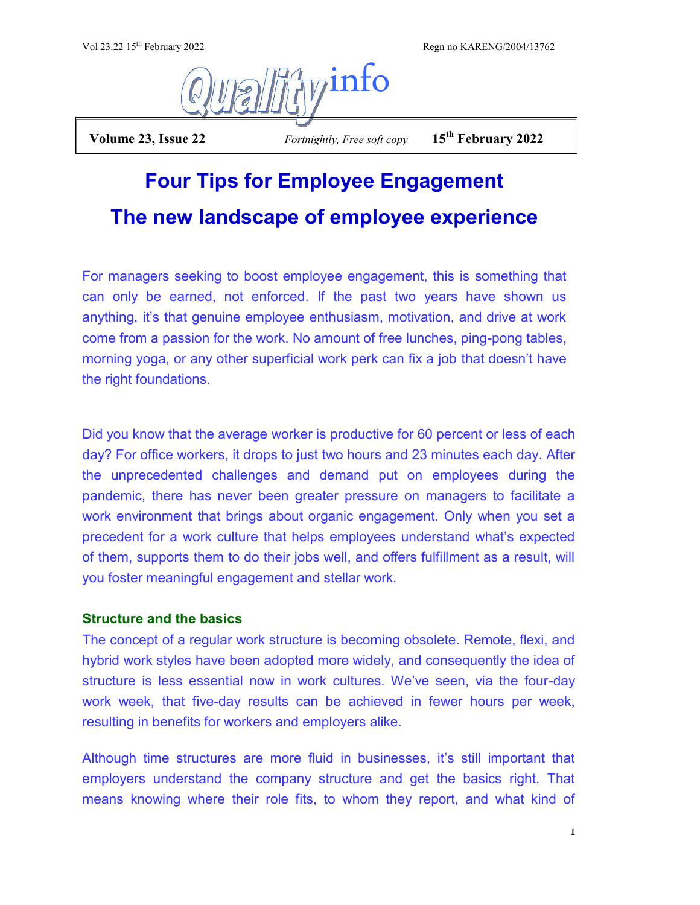Vol 23.22 15<sup>th</sup> February 2022 Regn no KARENG/2004/13762



 **Volume 23, Issue 22** *Fortnightly, Free soft copy* **15th February 2022**

# **Four Tips for Employee Engagement The new landscape of employee experience**

For managers seeking to boost employee engagement, this is something that can only be earned, not enforced. If the past two years have shown us anything, it's that genuine employee enthusiasm, motivation, and drive at work come from a passion for the work. No amount of free lunches, ping-pong tables, morning yoga, or any other superficial work perk can fix a job that doesn't have the right foundations.

Did you know that the average worker is productive for 60 percent or less of each day? For office workers, it drops to just two hours and 23 minutes each day. After the unprecedented challenges and demand put on employees during the pandemic, there has never been greater pressure on managers to facilitate a work environment that brings about organic engagement. Only when you set a precedent for a work culture that helps employees understand what's expected of them, supports them to do their jobs well, and offers fulfillment as a result, will you foster meaningful engagement and stellar work.

## **Structure and the basics**

The concept of a regular work structure is becoming obsolete. Remote, flexi, and hybrid work styles have been adopted more widely, and consequently the idea of structure is less essential now in work cultures. We've seen, via the four-day work week, that five-day results can be achieved in fewer hours per week, resulting in benefits for workers and employers alike.

Although time structures are more fluid in businesses, it's still important that employers understand the company structure and get the basics right. That means knowing where their role fits, to whom they report, and what kind of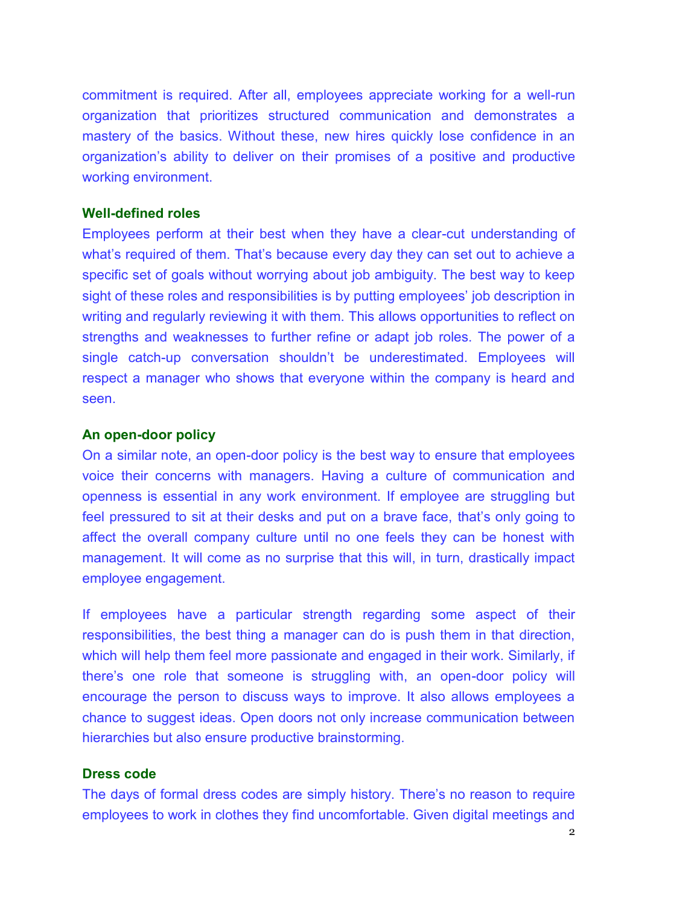commitment is required. After all, employees appreciate working for a well-run organization that prioritizes structured communication and demonstrates a mastery of the basics. Without these, new hires quickly lose confidence in an organization's ability to deliver on their promises of a positive and productive working environment.

#### **Well-defined roles**

Employees perform at their best when they have a clear-cut understanding of what's required of them. That's because every day they can set out to achieve a specific set of goals without worrying about job ambiguity. The best way to keep sight of these roles and responsibilities is by putting employees' job description in writing and regularly reviewing it with them. This allows opportunities to reflect on strengths and weaknesses to further refine or adapt job roles. The power of a single catch-up conversation shouldn't be underestimated. Employees will respect a manager who shows that everyone within the company is heard and seen.

#### **An open-door policy**

On a similar note, an open-door policy is the best way to ensure that employees voice their concerns with managers. Having a culture of communication and openness is essential in any work environment. If employee are struggling but feel pressured to sit at their desks and put on a brave face, that's only going to affect the overall company culture until no one feels they can be honest with management. It will come as no surprise that this will, in turn, drastically impact employee engagement.

If employees have a particular strength regarding some aspect of their responsibilities, the best thing a manager can do is push them in that direction, which will help them feel more passionate and engaged in their work. Similarly, if there's one role that someone is struggling with, an open-door policy will encourage the person to discuss ways to improve. It also allows employees a chance to suggest ideas. Open doors not only increase communication between hierarchies but also ensure productive brainstorming.

### **Dress code**

The days of formal dress codes are simply history. There's no reason to require employees to work in clothes they find uncomfortable. Given digital meetings and